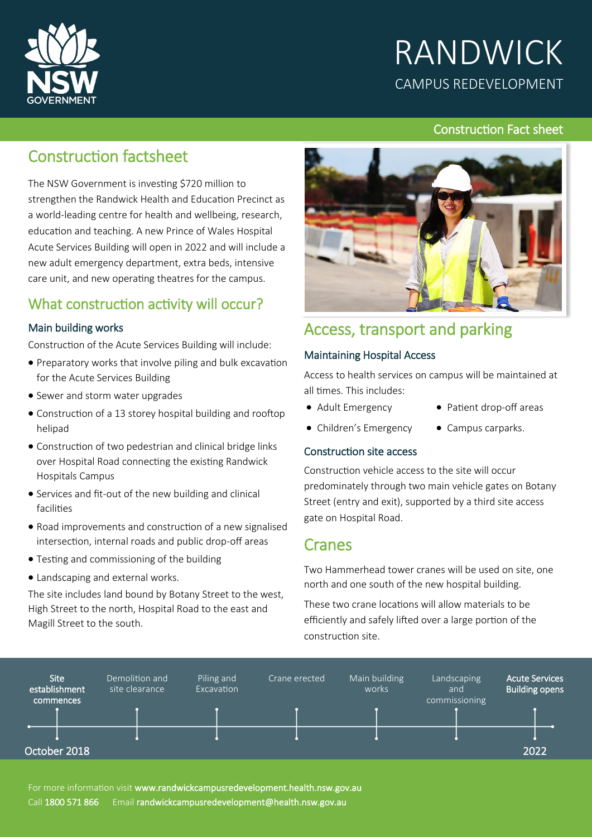

# RANDWICK CAMPUS REDEVELOPMENT

## Construction Fact sheet

# Construction factsheet

The NSW Government is investing \$720 million to strengthen the Randwick Health and Education Precinct as a world-leading centre for health and wellbeing, research, education and teaching. A new Prince of Wales Hospital Acute Services Building will open in 2022 and will include a new adult emergency department, extra beds, intensive care unit, and new operating theatres for the campus.

## What construction activity will occur?

### Main building works

Construction of the Acute Services Building will include:

- Preparatory works that involve piling and bulk excavation for the Acute Services Building
- Sewer and storm water upgrades
- Construction of a 13 storey hospital building and rooftop helipad
- Construction of two pedestrian and clinical bridge links over Hospital Road connecting the existing Randwick Hospitals Campus
- Services and fit-out of the new building and clinical facilities
- Road improvements and construction of a new signalised intersection, internal roads and public drop-off areas
- Testing and commissioning of the building
- Landscaping and external works.

The site includes land bound by Botany Street to the west, High Street to the north, Hospital Road to the east and Magill Street to the south.



## Access, transport and parking

### Maintaining Hospital Access

Access to health services on campus will be maintained at all times. This includes:

- Adult Emergency
- Patient drop-off areas
- Children's Emergency
- Campus carparks.

#### Construction site access

Construction vehicle access to the site will occur predominately through two main vehicle gates on Botany Street (entry and exit), supported by a third site access gate on Hospital Road.

## Cranes

Two Hammerhead tower cranes will be used on site, one north and one south of the new hospital building.

These two crane locations will allow materials to be efficiently and safely lifted over a large portion of the construction site.

| <b>Site</b><br>establishment<br>commences | Demolition and<br>site clearance | Piling and<br>Excavation | Crane erected | Main building<br>works | Landscaping<br>and<br>commissioning | <b>Acute Services</b><br>Building opens |
|-------------------------------------------|----------------------------------|--------------------------|---------------|------------------------|-------------------------------------|-----------------------------------------|
|                                           |                                  |                          |               |                        |                                     |                                         |
|                                           |                                  |                          |               |                        |                                     |                                         |
| October 2018                              |                                  |                          |               |                        |                                     | 2022                                    |

For more information visit [www.randwickcampusredevelopment.health.nsw.gov.au](http://www.snswlhd.health.nsw.gov.au/) Call 1800 571 866 Email randwickcampusredevelopment@health.nsw.gov.au